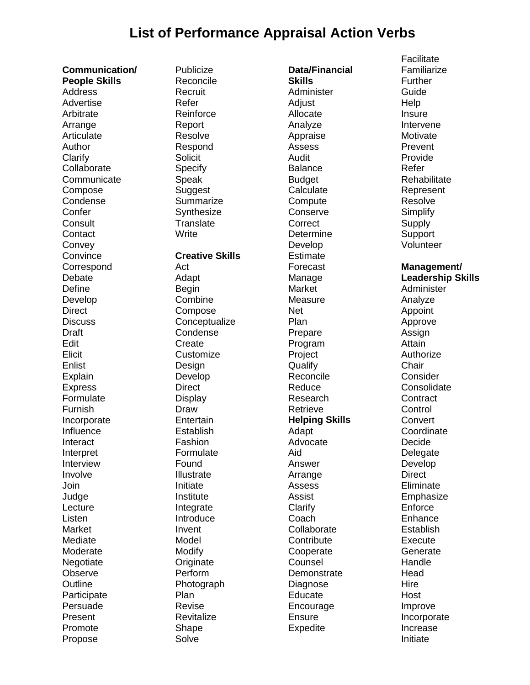## **List of Performance Appraisal Action Verbs**

**Communication/ People Skills** Address Advertise Arbitrate Arrange **Articulate** Author **Clarify Collaborate Communicate** Compose Condense **Confer Consult Contact Convey Convince Correspond** Debate **Define** Develop **Direct Discuss** Draft Edit Elicit Enlist **Explain** Express Formulate Furnish Incorporate Influence Interact Interpret Interview Involve Join Judge **Lecture** Listen Market Mediate Moderate Negotiate **Observe Outline Participate** Persuade Present Promote Propose

**Publicize** Reconcile Recruit Refer Reinforce Report Resolve Respond **Solicit** Specify Speak Suggest **Summarize Synthesize Translate Write Creative Skills** Act Adapt **Begin Combine** Compose **Conceptualize** Condense **Create** Customize Design Develop **Direct** Display Draw **Entertain** Establish Fashion Formulate Found Illustrate Initiate

Institute Integrate **Introduce** Invent Model Modify Originate Perform Photograph

Plan Revise **Revitalize Shape** Solve

**Data/Financial Skills** Administer Adjust Allocate Analyze Appraise Assess Audit Balance Budget **Calculate Compute Conserve Correct** Determine Develop **Estimate** Forecast Manage Market Measure Net Plan Prepare Program Project Qualify Reconcile Reduce Research Retrieve **Helping Skills** Adapt Advocate Aid Answer Arrange Assess Assist **Clarify** Coach **Collaborate Contribute** Cooperate **Counsel Demonstrate** Diagnose **Educate** Encourage **Ensure** Expedite

**Facilitate** Familiarize Further Guide Help Insure Intervene **Motivate** Prevent Provide Refer **Rehabilitate** Represent Resolve **Simplify Supply Support** Volunteer **Management/ Leadership Skills** Administer Analyze Appoint Approve Assign Attain Authorize **Chair Consider Consolidate Contract Control Convert Coordinate** Decide **Delegate** Develop **Direct** Eliminate Emphasize **Enforce** Enhance **Establish Execute Generate Handle Head** Hire Host Improve Incorporate Increase Initiate